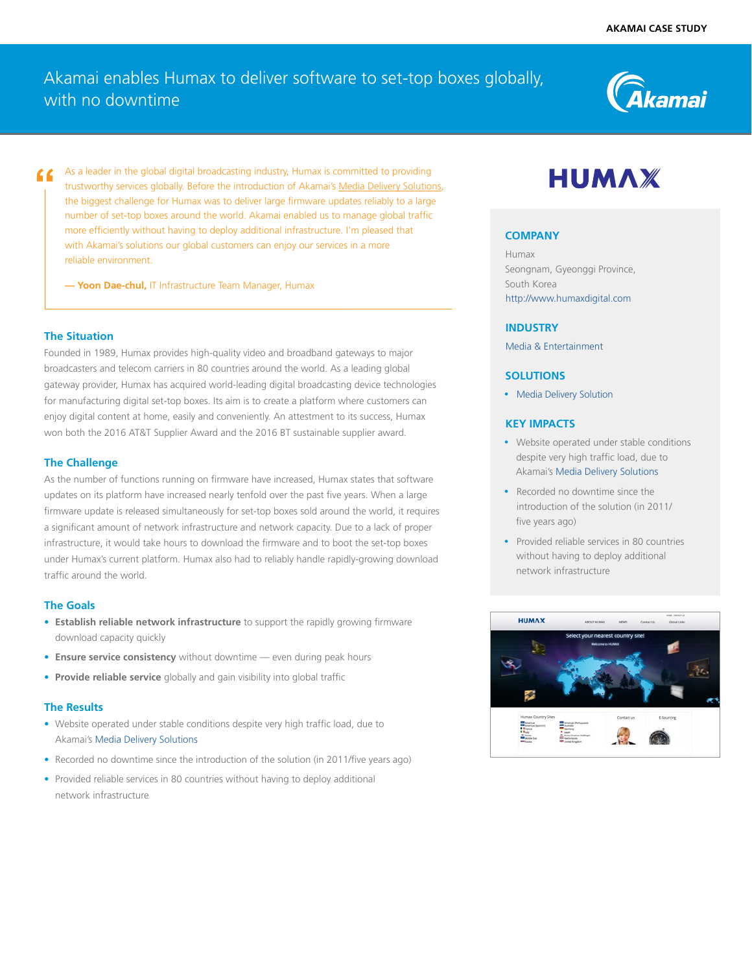## Akamai enables Humax to deliver software to set-top boxes globally, with no downtime



As a leader in the global digital broadcasting industry, Humax is committed to providing trustworthy services globally. Before the introduction of Akamai's [Media Delivery Solutions](https://www.akamai.com/us/en/solutions/products/media-delivery), the biggest challenge for Humax was to deliver large firmware updates reliably to a large number of set-top boxes around the world. Akamai enabled us to manage global traffic more efficiently without having to deploy additional infrastructure. I'm pleased that with Akamai's solutions our global customers can enjoy our services in a more reliable environment.

**— Yoon Dae-chul,** IT Infrastructure Team Manager, Humax

#### **The Situation**

Founded in 1989, Humax provides high-quality video and broadband gateways to major broadcasters and telecom carriers in 80 countries around the world. As a leading global gateway provider, Humax has acquired world-leading digital broadcasting device technologies for manufacturing digital set-top boxes. Its aim is to create a platform where customers can enjoy digital content at home, easily and conveniently. An attestment to its success, Humax won both the 2016 AT&T Supplier Award and the 2016 BT sustainable supplier award.

#### **The Challenge**

As the number of functions running on firmware have increased, Humax states that software updates on its platform have increased nearly tenfold over the past five years. When a large firmware update is released simultaneously for set-top boxes sold around the world, it requires a significant amount of network infrastructure and network capacity. Due to a lack of proper infrastructure, it would take hours to download the firmware and to boot the set-top boxes under Humax's current platform. Humax also had to reliably handle rapidly-growing download traffic around the world.

#### **The Goals**

- **• Establish reliable network infrastructure** to support the rapidly growing firmware download capacity quickly
- **• Ensure service consistency** without downtime even during peak hours
- **• Provide reliable service** globally and gain visibility into global traffic

#### **The Results**

- Website operated under stable conditions despite very high traffic load, due to Akamai's [Media Delivery Solutions](https://www.akamai.com/us/en/solutions/products/media-delivery)
- Recorded no downtime since the introduction of the solution (in 2011/five years ago)
- Provided reliable services in 80 countries without having to deploy additional network infrastructure

# **HUMAX**

#### **COMPANY**

Humax Seongnam, Gyeonggi Province, South Korea [http://www.humaxdigital.com](http://www.humaxdigital.com/home/) 

#### **INDUSTRY**

[Media & Entertainment](https://www.akamai.com/us/en/solutions/industries/media-entertainment-cdn-services.jsp)

#### **SOLUTIONS**

• Media Delivery [Solution](https://www.akamai.com/us/en/solutions/products/media-delivery)

#### **KEY IMPACTS**

- Website operated under stable conditions despite very high traffic load, due to Akamai's [Media Delivery Solutions](https://www.akamai.com/us/en/solutions/products/media-delivery)
- Recorded no downtime since the introduction of the solution (in 2011/ five years ago)
- Provided reliable services in 80 countries without having to deploy additional network infrastructure